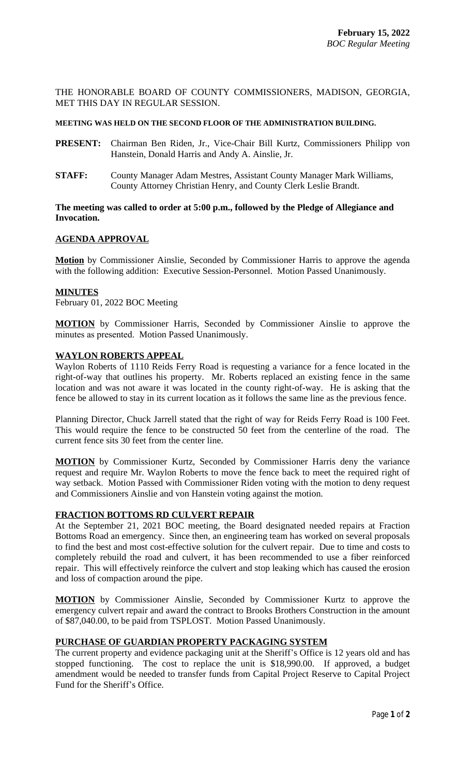THE HONORABLE BOARD OF COUNTY COMMISSIONERS, MADISON, GEORGIA, MET THIS DAY IN REGULAR SESSION.

## **MEETING WAS HELD ON THE SECOND FLOOR OF THE ADMINISTRATION BUILDING.**

- **PRESENT:** Chairman Ben Riden, Jr., Vice-Chair Bill Kurtz, Commissioners Philipp von Hanstein, Donald Harris and Andy A. Ainslie, Jr.
- **STAFF:** County Manager Adam Mestres, Assistant County Manager Mark Williams, County Attorney Christian Henry, and County Clerk Leslie Brandt.

## **The meeting was called to order at 5:00 p.m., followed by the Pledge of Allegiance and Invocation.**

# **AGENDA APPROVAL**

**Motion** by Commissioner Ainslie, Seconded by Commissioner Harris to approve the agenda with the following addition: Executive Session-Personnel. Motion Passed Unanimously.

## **MINUTES**

February 01, 2022 BOC Meeting

**MOTION** by Commissioner Harris, Seconded by Commissioner Ainslie to approve the minutes as presented. Motion Passed Unanimously.

## **WAYLON ROBERTS APPEAL**

Waylon Roberts of 1110 Reids Ferry Road is requesting a variance for a fence located in the right-of-way that outlines his property. Mr. Roberts replaced an existing fence in the same location and was not aware it was located in the county right-of-way. He is asking that the fence be allowed to stay in its current location as it follows the same line as the previous fence.

Planning Director, Chuck Jarrell stated that the right of way for Reids Ferry Road is 100 Feet. This would require the fence to be constructed 50 feet from the centerline of the road. The current fence sits 30 feet from the center line.

**MOTION** by Commissioner Kurtz, Seconded by Commissioner Harris deny the variance request and require Mr. Waylon Roberts to move the fence back to meet the required right of way setback. Motion Passed with Commissioner Riden voting with the motion to deny request and Commissioners Ainslie and von Hanstein voting against the motion.

#### **FRACTION BOTTOMS RD CULVERT REPAIR**

At the September 21, 2021 BOC meeting, the Board designated needed repairs at Fraction Bottoms Road an emergency. Since then, an engineering team has worked on several proposals to find the best and most cost-effective solution for the culvert repair. Due to time and costs to completely rebuild the road and culvert, it has been recommended to use a fiber reinforced repair. This will effectively reinforce the culvert and stop leaking which has caused the erosion and loss of compaction around the pipe.

**MOTION** by Commissioner Ainslie, Seconded by Commissioner Kurtz to approve the emergency culvert repair and award the contract to Brooks Brothers Construction in the amount of \$87,040.00, to be paid from TSPLOST. Motion Passed Unanimously.

## **PURCHASE OF GUARDIAN PROPERTY PACKAGING SYSTEM**

The current property and evidence packaging unit at the Sheriff's Office is 12 years old and has stopped functioning. The cost to replace the unit is \$18,990.00. If approved, a budget amendment would be needed to transfer funds from Capital Project Reserve to Capital Project Fund for the Sheriff's Office.